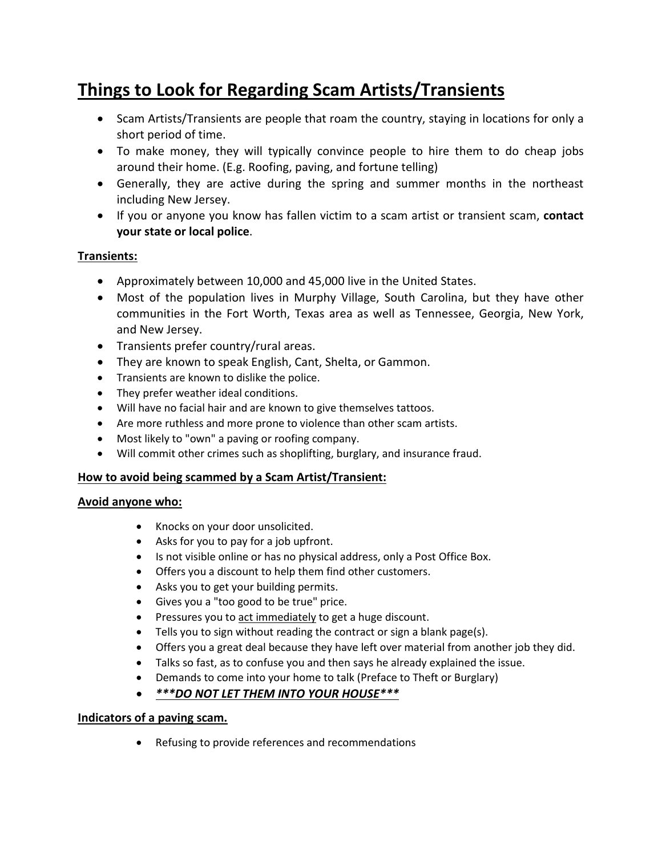# **Things to Look for Regarding Scam Artists/Transients**

- Scam Artists/Transients are people that roam the country, staying in locations for only a short period of time.
- To make money, they will typically convince people to hire them to do cheap jobs around their home. (E.g. Roofing, paving, and fortune telling)
- Generally, they are active during the spring and summer months in the northeast including New Jersey.
- If you or anyone you know has fallen victim to a scam artist or transient scam, **contact your state or local police**.

# **Transients:**

- Approximately between 10,000 and 45,000 live in the United States.
- Most of the population lives in Murphy Village, South Carolina, but they have other communities in the Fort Worth, Texas area as well as Tennessee, Georgia, New York, and New Jersey.
- Transients prefer country/rural areas.
- They are known to speak English, Cant, Shelta, or Gammon.
- Transients are known to dislike the police.
- They prefer weather ideal conditions.
- Will have no facial hair and are known to give themselves tattoos.
- Are more ruthless and more prone to violence than other scam artists.
- Most likely to "own" a paving or roofing company.
- Will commit other crimes such as shoplifting, burglary, and insurance fraud.

# **How to avoid being scammed by a Scam Artist/Transient:**

# **Avoid anyone who:**

- Knocks on your door unsolicited.
- Asks for you to pay for a job upfront.
- Is not visible online or has no physical address, only a Post Office Box.
- Offers you a discount to help them find other customers.
- Asks you to get your building permits.
- Gives you a "too good to be true" price.
- Pressures you to act immediately to get a huge discount.
- Tells you to sign without reading the contract or sign a blank page(s).
- Offers you a great deal because they have left over material from another job they did.
- Talks so fast, as to confuse you and then says he already explained the issue.
- Demands to come into your home to talk (Preface to Theft or Burglary)

# • *\*\*\*DO NOT LET THEM INTO YOUR HOUSE\*\*\**

# **Indicators of a paving scam.**

• Refusing to provide references and recommendations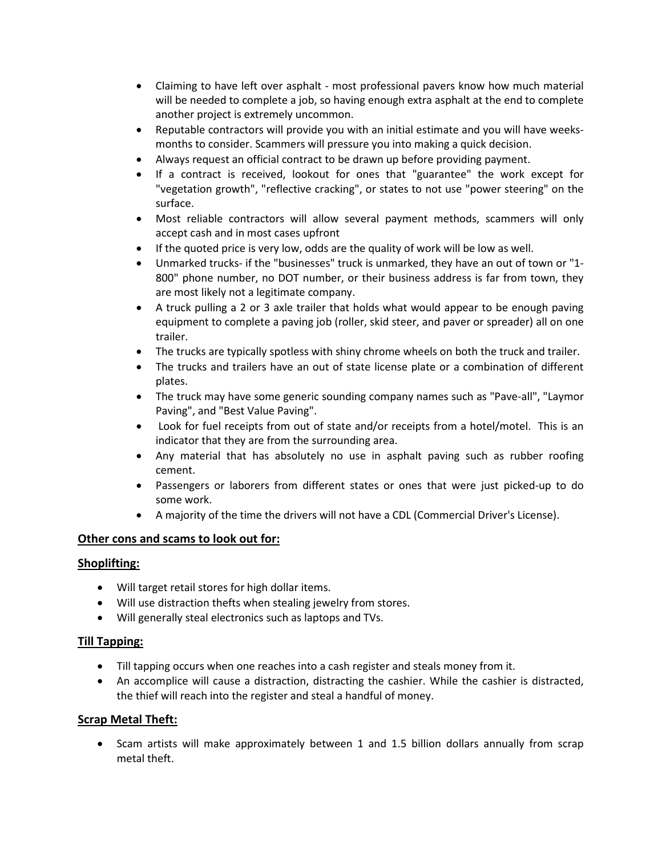- Claiming to have left over asphalt most professional pavers know how much material will be needed to complete a job, so having enough extra asphalt at the end to complete another project is extremely uncommon.
- Reputable contractors will provide you with an initial estimate and you will have weeksmonths to consider. Scammers will pressure you into making a quick decision.
- Always request an official contract to be drawn up before providing payment.
- If a contract is received, lookout for ones that "guarantee" the work except for "vegetation growth", "reflective cracking", or states to not use "power steering" on the surface.
- Most reliable contractors will allow several payment methods, scammers will only accept cash and in most cases upfront
- If the quoted price is very low, odds are the quality of work will be low as well.
- Unmarked trucks- if the "businesses" truck is unmarked, they have an out of town or "1- 800" phone number, no DOT number, or their business address is far from town, they are most likely not a legitimate company.
- A truck pulling a 2 or 3 axle trailer that holds what would appear to be enough paving equipment to complete a paving job (roller, skid steer, and paver or spreader) all on one trailer.
- The trucks are typically spotless with shiny chrome wheels on both the truck and trailer.
- The trucks and trailers have an out of state license plate or a combination of different plates.
- The truck may have some generic sounding company names such as "Pave-all", "Laymor Paving", and "Best Value Paving".
- Look for fuel receipts from out of state and/or receipts from a hotel/motel. This is an indicator that they are from the surrounding area.
- Any material that has absolutely no use in asphalt paving such as rubber roofing cement.
- Passengers or laborers from different states or ones that were just picked-up to do some work.
- A majority of the time the drivers will not have a CDL (Commercial Driver's License).

#### **Other cons and scams to look out for:**

#### **Shoplifting:**

- Will target retail stores for high dollar items.
- Will use distraction thefts when stealing jewelry from stores.
- Will generally steal electronics such as laptops and TVs.

#### **Till Tapping:**

- Till tapping occurs when one reaches into a cash register and steals money from it.
- An accomplice will cause a distraction, distracting the cashier. While the cashier is distracted, the thief will reach into the register and steal a handful of money.

# **Scrap Metal Theft:**

• Scam artists will make approximately between 1 and 1.5 billion dollars annually from scrap metal theft.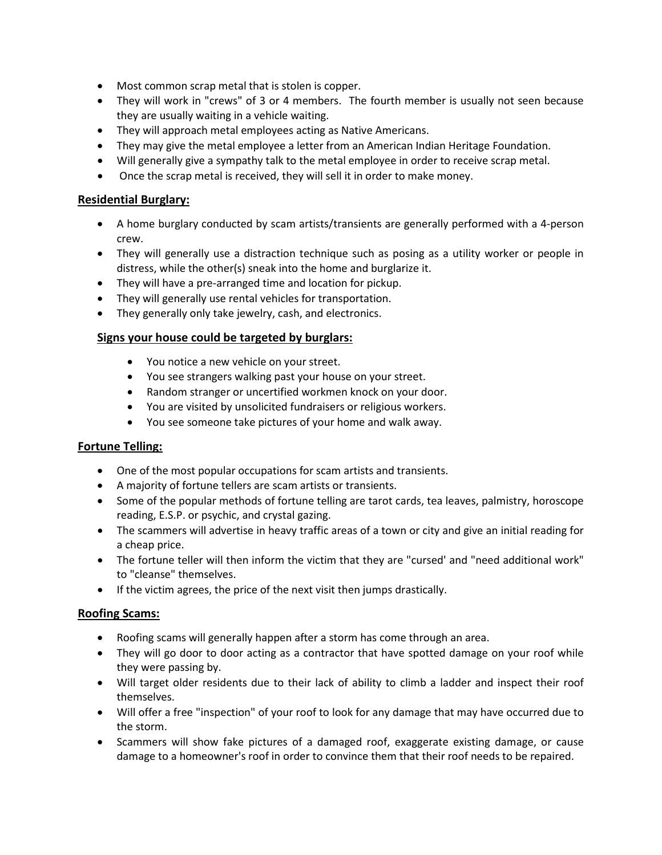- Most common scrap metal that is stolen is copper.
- They will work in "crews" of 3 or 4 members. The fourth member is usually not seen because they are usually waiting in a vehicle waiting.
- They will approach metal employees acting as Native Americans.
- They may give the metal employee a letter from an American Indian Heritage Foundation.
- Will generally give a sympathy talk to the metal employee in order to receive scrap metal.
- Once the scrap metal is received, they will sell it in order to make money.

#### **Residential Burglary:**

- A home burglary conducted by scam artists/transients are generally performed with a 4-person crew.
- They will generally use a distraction technique such as posing as a utility worker or people in distress, while the other(s) sneak into the home and burglarize it.
- They will have a pre-arranged time and location for pickup.
- They will generally use rental vehicles for transportation.
- They generally only take jewelry, cash, and electronics.

#### **Signs your house could be targeted by burglars:**

- You notice a new vehicle on your street.
- You see strangers walking past your house on your street.
- Random stranger or uncertified workmen knock on your door.
- You are visited by unsolicited fundraisers or religious workers.
- You see someone take pictures of your home and walk away.

#### **Fortune Telling:**

- One of the most popular occupations for scam artists and transients.
- A majority of fortune tellers are scam artists or transients.
- Some of the popular methods of fortune telling are tarot cards, tea leaves, palmistry, horoscope reading, E.S.P. or psychic, and crystal gazing.
- The scammers will advertise in heavy traffic areas of a town or city and give an initial reading for a cheap price.
- The fortune teller will then inform the victim that they are "cursed' and "need additional work" to "cleanse" themselves.
- If the victim agrees, the price of the next visit then jumps drastically.

#### **Roofing Scams:**

- Roofing scams will generally happen after a storm has come through an area.
- They will go door to door acting as a contractor that have spotted damage on your roof while they were passing by.
- Will target older residents due to their lack of ability to climb a ladder and inspect their roof themselves.
- Will offer a free "inspection" of your roof to look for any damage that may have occurred due to the storm.
- Scammers will show fake pictures of a damaged roof, exaggerate existing damage, or cause damage to a homeowner's roof in order to convince them that their roof needs to be repaired.